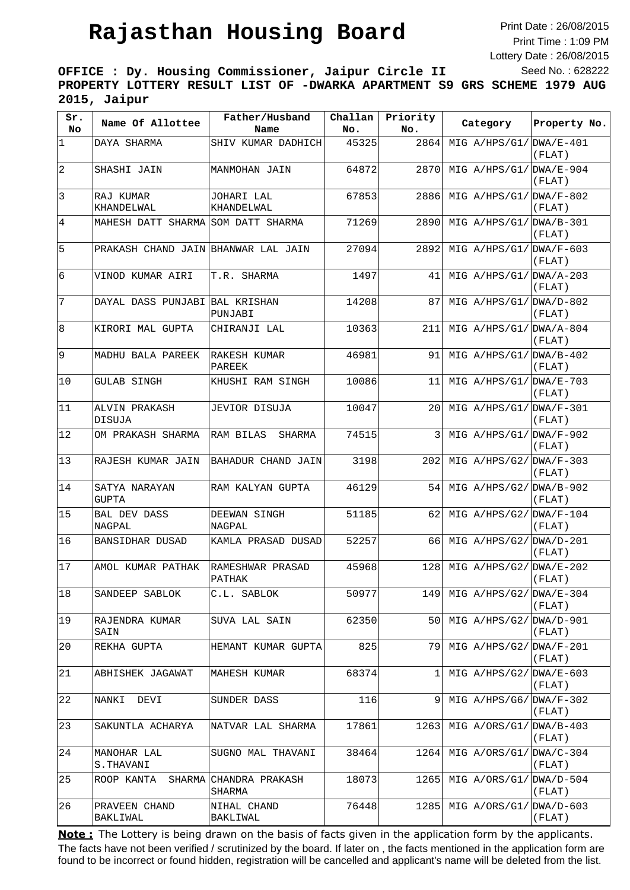## **Rajasthan Housing Board**

Print Date : 26/08/2015 Print Time : 1:09 PM Lottery Date : 26/08/2015 Seed No. : 628222

**OFFICE : Dy. Housing Commissioner, Jaipur Circle II PROPERTY LOTTERY RESULT LIST OF -DWARKA APARTMENT S9 GRS SCHEME 1979 AUG 2015, Jaipur**

| Sr.<br>No.      | Name Of Allottee                    | Father/Husband<br>Name     | Challan<br>No. | Priority<br>No. | Category                  | Property No.                      |
|-----------------|-------------------------------------|----------------------------|----------------|-----------------|---------------------------|-----------------------------------|
| $\vert$ 1       | DAYA SHARMA                         | SHIV KUMAR DADHICH         | 45325          | 2864            | MIG $A/HPS/G1/DWA/E-401$  | (FLAT)                            |
| $\overline{2}$  | SHASHI JAIN                         | MANMOHAN JAIN              | 64872          | 2870            | MIG A/HPS/G1/             | $DWA/E-904$<br>(FLAT)             |
| $\vert$ 3       | RAJ KUMAR<br>KHANDELWAL             | JOHARI LAL<br>KHANDELWAL   | 67853          | 2886            | MIG A/HPS/G1/             | $DWA/F-802$<br>(FLAT)             |
| 4               | MAHESH DATT SHARMA SOM DATT SHARMA  |                            | 71269          | 2890            | MIG $A/HPS/G1/DWA/B-301$  | (FLAT)                            |
| 5               | PRAKASH CHAND JAIN BHANWAR LAL JAIN |                            | 27094          | 2892            | MIG $A/HPS/G1/DWA/F-603$  | (FLAT)                            |
| $6\overline{6}$ | VINOD KUMAR AIRI                    | T.R. SHARMA                | 1497           | 41              | MIG $A/HPS/G1/DWA/A-203$  | (FLAT)                            |
| 7               | DAYAL DASS PUNJABI BAL KRISHAN      | PUNJABI                    | 14208          | 87              | MIG $A/HPS/G1/DWA/D-802$  | (FLAT)                            |
| 8               | KIRORI MAL GUPTA                    | CHIRANJI LAL               | 10363          | 211             | MIG $A/HPS/G1/DWA/A-804$  | (FLAT)                            |
| 9               | MADHU BALA PAREEK                   | RAKESH KUMAR<br>PAREEK     | 46981          | 91              | MIG $A/HPS/G1/DWA/B-402$  | (FLAT)                            |
| 10              | GULAB SINGH                         | KHUSHI RAM SINGH           | 10086          | 11              | MIG $A/HPS/G1/DWA/E-703$  | (FLAT)                            |
| 11              | ALVIN PRAKASH<br>DISUJA             | JEVIOR DISUJA              | 10047          | 20              | MIG $A/HPS/G1/ DNA/F-301$ | (FLAT)                            |
| 12              | OM PRAKASH SHARMA                   | RAM BILAS<br>SHARMA        | 74515          | 3               | MIG $A/HPS/G1/DWA/F-902$  | (FLAT)                            |
| 13              | RAJESH KUMAR JAIN                   | BAHADUR CHAND JAIN         | 3198           | 202             | MIG $A/HPS/G2/DMA/F-303$  | (FLAT)                            |
| 14              | SATYA NARAYAN<br><b>GUPTA</b>       | RAM KALYAN GUPTA           | 46129          | 54              | MIG A/HPS/G2/             | $DWA/B-902$<br>(FLAT)             |
| 15              | <b>BAL DEV DASS</b><br>NAGPAL       | DEEWAN SINGH<br>NAGPAL     | 51185          | 62              | MIG $A/HPS/G2/DWA/F-104$  | (FLAT)                            |
| 16              | BANSIDHAR DUSAD                     | KAMLA PRASAD DUSAD         | 52257          | 66              | $MIG A/HPS/G2/IDWA/D-201$ | (FLAT)                            |
| 17              | AMOL KUMAR PATHAK                   | RAMESHWAR PRASAD<br>PATHAK | 45968          | 128             | MIG $A/HPS/G2/DWA/E-202$  | (FLAT)                            |
| 18              | SANDEEP SABLOK                      | C.L. SABLOK                | 50977          | 149             | MIG $A/HPS/G2/IDWA/E-304$ | (FLAT)                            |
| 19              | RAJENDRA KUMAR<br>SAIN              | SUVA LAL SAIN              | 62350          | 50              | MIG A/HPS/G2/ DWA/D-901   | (FLAT)                            |
| 20              | REKHA GUPTA                         | HEMANT KUMAR GUPTA         | 825            | 79              | MIG A/HPS/G2/             | $DWA/F-201$<br>(FLAT)             |
| 21              | ABHISHEK JAGAWAT                    | MAHESH KUMAR               | 68374          | 1               | MIG $A/HPS/G2/DWA/E-603$  | $(\mbox{{\sc F}{\sc{\rm LAT}}}$ ) |
| 22              | NANKI<br>DEVI                       | SUNDER DASS                | 116            | 9               | MIG $A/HBS/G6/DWA/F-302$  | (FLAT)                            |
| 23              | SAKUNTLA ACHARYA                    | NATVAR LAL SHARMA          | 17861          | 1263            | MIG $A/ORS/G1/IDWA/B-403$ | (FLAT)                            |
| 24              | MANOHAR LAL<br>S.THAVANI            | SUGNO MAL THAVANI          | 38464          | 1264            | MIG A/ORS/G1/             | DWA/C-304<br>(FLAT)               |
| 25              | ROOP KANTA<br>SHARMA                | CHANDRA PRAKASH<br>SHARMA  | 18073          | 1265            | MIG A/ORS/G1/             | DWA/D-504<br>(FLAT)               |
| 26              | PRAVEEN CHAND<br>BAKLIWAL           | NIHAL CHAND<br>BAKLIWAL    | 76448          | 1285            | MIG A/ORS/G1/             | DWA/D-603<br>(FLAT)               |

The facts have not been verified / scrutinized by the board. If later on , the facts mentioned in the application form are found to be incorrect or found hidden, registration will be cancelled and applicant's name will be deleted from the list. **Note:** The Lottery is being drawn on the basis of facts given in the application form by the applicants.